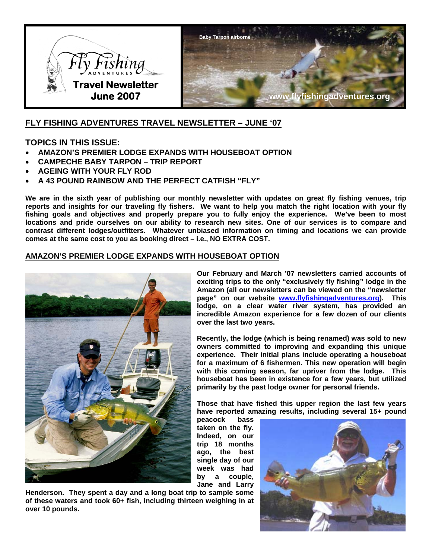

# **FLY FISHING ADVENTURES TRAVEL NEWSLETTER – JUNE '07**

# **TOPICS IN THIS ISSUE:**

- **AMAZON'S PREMIER LODGE EXPANDS WITH HOUSEBOAT OPTION**
- **CAMPECHE BABY TARPON TRIP REPORT**
- **AGEING WITH YOUR FLY ROD**
- **A 43 POUND RAINBOW AND THE PERFECT CATFISH "FLY"**

**We are in the sixth year of publishing our monthly newsletter with updates on great fly fishing venues, trip reports and insights for our traveling fly fishers. We want to help you match the right location with your fly fishing goals and objectives and properly prepare you to fully enjoy the experience. We've been to most locations and pride ourselves on our ability to research new sites. One of our services is to compare and contrast different lodges/outfitters. Whatever unbiased information on timing and locations we can provide comes at the same cost to you as booking direct – i.e., NO EXTRA COST.** 

## **AMAZON'S PREMIER LODGE EXPANDS WITH HOUSEBOAT OPTION**



**Our February and March '07 newsletters carried accounts of exciting trips to the only "exclusively fly fishing" lodge in the Amazon (all our newsletters can be viewed on the "newsletter page" on our website [www.flyfishingadventures.org\)](http://www.flyfishingadventures.org/). This lodge, on a clear water river system, has provided an incredible Amazon experience for a few dozen of our clients over the last two years.** 

**Recently, the lodge (which is being renamed) was sold to new owners committed to improving and expanding this unique experience. Their initial plans include operating a houseboat for a maximum of 6 fishermen. This new operation will begin with this coming season, far upriver from the lodge. This houseboat has been in existence for a few years, but utilized primarily by the past lodge owner for personal friends.** 

**Those that have fished this upper region the last few years have reported amazing results, including several 15+ pound** 

**peacock bass taken on the fly. Indeed, on our trip 18 months ago, the best single day of our week was had by a couple, Jane and Larry** 

**Henderson. They spent a day and a long boat trip to sample some of these waters and took 60+ fish, including thirteen weighing in at over 10 pounds.** 

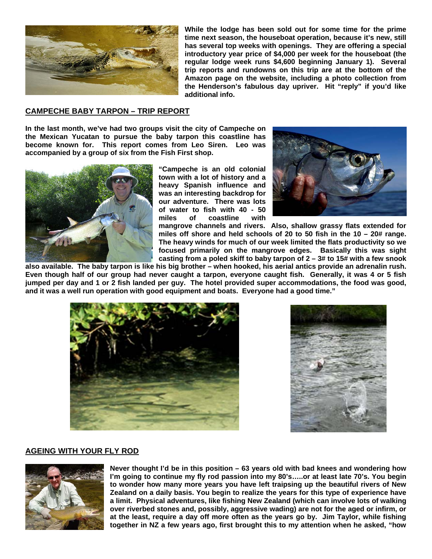

**While the lodge has been sold out for some time for the prime time next season, the houseboat operation, because it's new, still has several top weeks with openings. They are offering a special introductory year price of \$4,000 per week for the houseboat (the regular lodge week runs \$4,600 beginning January 1). Several trip reports and rundowns on this trip are at the bottom of the Amazon page on the website, including a photo collection from the Henderson's fabulous day upriver. Hit "reply" if you'd like additional info.** 

## **CAMPECHE BABY TARPON – TRIP REPORT**

**In the last month, we've had two groups visit the city of Campeche on the Mexican Yucatan to pursue the baby tarpon this coastline has become known for. This report comes from Leo Siren. Leo was accompanied by a group of six from the Fish First shop.** 



**"Campeche is an old colonial town with a lot of history and a heavy Spanish influence and was an interesting backdrop for our adventure. There was lots of water to fish with 40 - 50 miles of coastline with** 



**mangrove channels and rivers. Also, shallow grassy flats extended for miles off shore and held schools of 20 to 50 fish in the 10 – 20# range. The heavy winds for much of our week limited the flats productivity so we focused primarily on the mangrove edges. Basically this was sight casting from a poled skiff to baby tarpon of 2 – 3# to 15# with a few snook** 

**also available. The baby tarpon is like his big brother – when hooked, his aerial antics provide an adrenalin rush. Even though half of our group had never caught a tarpon, everyone caught fish. Generally, it was 4 or 5 fish jumped per day and 1 or 2 fish landed per guy. The hotel provided super accommodations, the food was good, and it was a well run operation with good equipment and boats. Everyone had a good time."** 





### **AGEING WITH YOUR FLY ROD**



**Never thought I'd be in this position – 63 years old with bad knees and wondering how I'm going to continue my fly rod passion into my 80's…..or at least late 70's. You begin to wonder how many more years you have left traipsing up the beautiful rivers of New Zealand on a daily basis. You begin to realize the years for this type of experience have a limit. Physical adventures, like fishing New Zealand (which can involve lots of walking over riverbed stones and, possibly, aggressive wading) are not for the aged or infirm, or at the least, require a day off more often as the years go by. Jim Taylor, while fishing together in NZ a few years ago, first brought this to my attention when he asked, "how**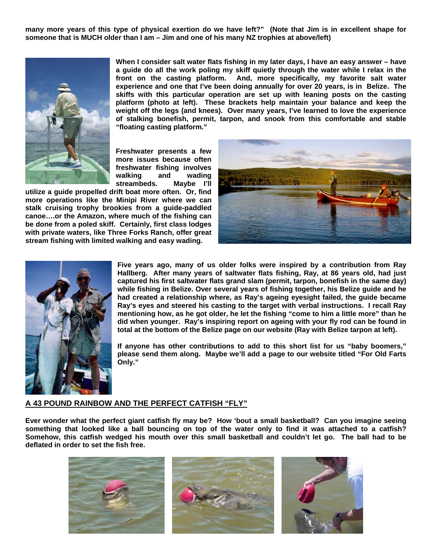**many more years of this type of physical exertion do we have left?" (Note that Jim is in excellent shape for someone that is MUCH older than I am – Jim and one of his many NZ trophies at above/left)** 



**When I consider salt water flats fishing in my later days, I have an easy answer – have a guide do all the work poling my skiff quietly through the water while I relax in the front on the casting platform. And, more specifically, my favorite salt water experience and one that I've been doing annually for over 20 years, is in Belize. The skiffs with this particular operation are set up with leaning posts on the casting platform (photo at left). These brackets help maintain your balance and keep the weight off the legs (and knees). Over many years, I've learned to love the experience of stalking bonefish, permit, tarpon, and snook from this comfortable and stable "floating casting platform."** 

**Freshwater presents a few more issues because often freshwater fishing involves walking and wading streambeds. Maybe I'll** 

**utilize a guide propelled drift boat more often. Or, find more operations like the Minipi River where we can stalk cruising trophy brookies from a guide-paddled canoe….or the Amazon, where much of the fishing can be done from a poled skiff. Certainly, first class lodges with private waters, like Three Forks Ranch, offer great stream fishing with limited walking and easy wading.** 





**Five years ago, many of us older folks were inspired by a contribution from Ray Hallberg. After many years of saltwater flats fishing, Ray, at 86 years old, had just captured his first saltwater flats grand slam (permit, tarpon, bonefish in the same day) while fishing in Belize. Over several years of fishing together, his Belize guide and he had created a relationship where, as Ray's ageing eyesight failed, the guide became Ray's eyes and steered his casting to the target with verbal instructions. I recall Ray mentioning how, as he got older, he let the fishing "come to him a little more" than he did when younger. Ray's inspiring report on ageing with your fly rod can be found in total at the bottom of the Belize page on our website (Ray with Belize tarpon at left).** 

**If anyone has other contributions to add to this short list for us "baby boomers," please send them along. Maybe we'll add a page to our website titled "For Old Farts Only."** 

### **A 43 POUND RAINBOW AND THE PERFECT CATFISH "FLY"**

**Ever wonder what the perfect giant catfish fly may be? How 'bout a small basketball? Can you imagine seeing something that looked like a ball bouncing on top of the water only to find it was attached to a catfish? Somehow, this catfish wedged his mouth over this small basketball and couldn't let go. The ball had to be deflated in order to set the fish free.**